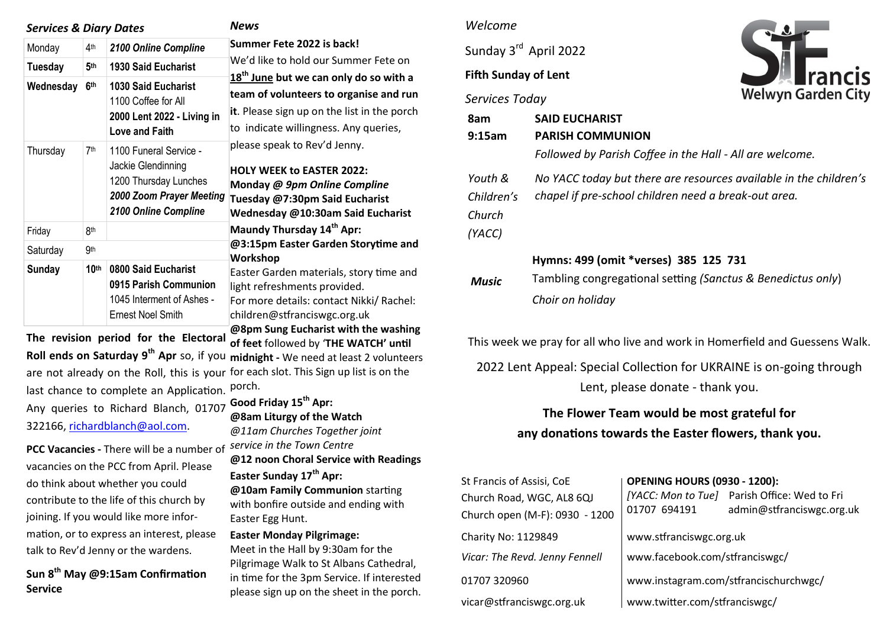| <b>Services &amp; Diary Dates</b> |                  |                                                                                                                           | <b>News</b>                                                                                                                                                                                                                                                                                                                                                                                                                                                                                                                                                                                                        |  |
|-----------------------------------|------------------|---------------------------------------------------------------------------------------------------------------------------|--------------------------------------------------------------------------------------------------------------------------------------------------------------------------------------------------------------------------------------------------------------------------------------------------------------------------------------------------------------------------------------------------------------------------------------------------------------------------------------------------------------------------------------------------------------------------------------------------------------------|--|
| Monday                            | 4 <sup>th</sup>  | 2100 Online Compline                                                                                                      | Summer Fete 2022 is back!<br>We'd like to hold our Summer Fete on                                                                                                                                                                                                                                                                                                                                                                                                                                                                                                                                                  |  |
| <b>Tuesday</b>                    | 5th              | <b>1930 Said Eucharist</b>                                                                                                |                                                                                                                                                                                                                                                                                                                                                                                                                                                                                                                                                                                                                    |  |
| Wednesday                         | 6 <sup>th</sup>  | <b>1030 Said Eucharist</b><br>1100 Coffee for All<br>2000 Lent 2022 - Living in<br><b>Love and Faith</b>                  | 18 <sup>th</sup> June but we can only do so with a<br>team of volunteers to organise and run<br>it. Please sign up on the list in the porch<br>to indicate willingness. Any queries,<br>please speak to Rev'd Jenny.<br><b>HOLY WEEK to EASTER 2022:</b><br>Monday @ 9pm Online Compline<br>Tuesday @7:30pm Said Eucharist<br>Wednesday @10:30am Said Eucharist<br>Maundy Thursday 14 <sup>th</sup> Apr:<br>@3:15pm Easter Garden Storytime and<br>Workshop<br>Easter Garden materials, story time and<br>light refreshments provided.<br>For more details: contact Nikki/ Rachel:<br>children@stfranciswgc.org.uk |  |
| Thursday                          | 7th              | 1100 Funeral Service -<br>Jackie Glendinning<br>1200 Thursday Lunches<br>2000 Zoom Prayer Meeting<br>2100 Online Compline |                                                                                                                                                                                                                                                                                                                                                                                                                                                                                                                                                                                                                    |  |
| Friday                            | <b>8th</b>       |                                                                                                                           |                                                                                                                                                                                                                                                                                                                                                                                                                                                                                                                                                                                                                    |  |
| Saturday                          | <b>9th</b>       |                                                                                                                           |                                                                                                                                                                                                                                                                                                                                                                                                                                                                                                                                                                                                                    |  |
| <b>Sunday</b>                     | 10 <sup>th</sup> | 0800 Said Eucharist<br>0915 Parish Communion<br>1045 Interment of Ashes -<br><b>Ernest Noel Smith</b>                     |                                                                                                                                                                                                                                                                                                                                                                                                                                                                                                                                                                                                                    |  |
|                                   |                  | The revision period for the Electoral                                                                                     | @8pm Sung Eucharist with the washing<br>of feet followed by 'THE WATCH' until                                                                                                                                                                                                                                                                                                                                                                                                                                                                                                                                      |  |

*@11am Churches Together joint* 

**Easter Sunday 17th Apr:** 

**Easter Monday Pilgrimage:** 

Easter Egg Hunt.

**@12 noon Choral Service with Readings** 

**@10am Family Communion** starting with bonfire outside and ending with

Meet in the Hall by 9:30am for the Pilgrimage Walk to St Albans Cathedral, in time for the 3pm Service. If interested please sign up on the sheet in the porch.

**The revision period for the Electoral Roll ends on Saturday 9th Apr** so, if you **midnight -** We need at least 2 volunteers are not already on the Roll, this is your for each slot. This Sign up list is on the last chance to complete an Application. Porch. Any queries to Richard Blanch, 01707 **Good Friday 15th Apr:**  322166, [richardblanch@aol.com.](mailto:richardblanch@aol.com) **@8am Liturgy of the Watch** 

**PCC Vacancies -** There will be a number of *service in the Town Centre*  vacancies on the PCC from April. Please do think about whether you could contribute to the life of this church by joining. If you would like more information, or to express an interest, please talk to Rev'd Jenny or the wardens.

**Sun 8th May @9:15am Confirmation Service**

#### *Welcome*

Sunday 3rd April 2022

#### **Fifth Sunday of Lent**

#### *Services Today*



| 8am<br>9:15am                             | <b>SAID EUCHARIST</b><br><b>PARISH COMMUNION</b><br>Followed by Parish Coffee in the Hall - All are welcome.              |
|-------------------------------------------|---------------------------------------------------------------------------------------------------------------------------|
| Youth &<br>Children's<br>Church<br>(YACC) | No YACC today but there are resources available in the children's<br>chapel if pre-school children need a break-out area. |
| <b>Music</b>                              | Hymns: 499 (omit *verses) 385 125 731<br>Tambling congregational setting (Sanctus & Benedictus only)<br>Choir on holiday  |

This week we pray for all who live and work in Homerfield and Guessens Walk.

2022 Lent Appeal: Special Collection for UKRAINE is on-going through Lent, please donate - thank you.

# **The Flower Team would be most grateful for any donations towards the Easter flowers, thank you.**

| St Francis of Assisi, CoE<br>Church Road, WGC, AL8 6QJ<br>Church open (M-F): 0930 - 1200 | <b>OPENING HOURS (0930 - 1200):</b><br>01707 694191 | [YACC: Mon to Tue] Parish Office: Wed to Fri<br>admin@stfranciswgc.org.uk |  |
|------------------------------------------------------------------------------------------|-----------------------------------------------------|---------------------------------------------------------------------------|--|
| Charity No: 1129849                                                                      | www.stfranciswgc.org.uk                             |                                                                           |  |
| Vicar: The Revd. Jenny Fennell                                                           | www.facebook.com/stfranciswgc/                      |                                                                           |  |
| 01707 320960                                                                             | www.instagram.com/stfrancischurchwgc/               |                                                                           |  |
| vicar@stfranciswgc.org.uk                                                                | www.twitter.com/stfranciswgc/                       |                                                                           |  |